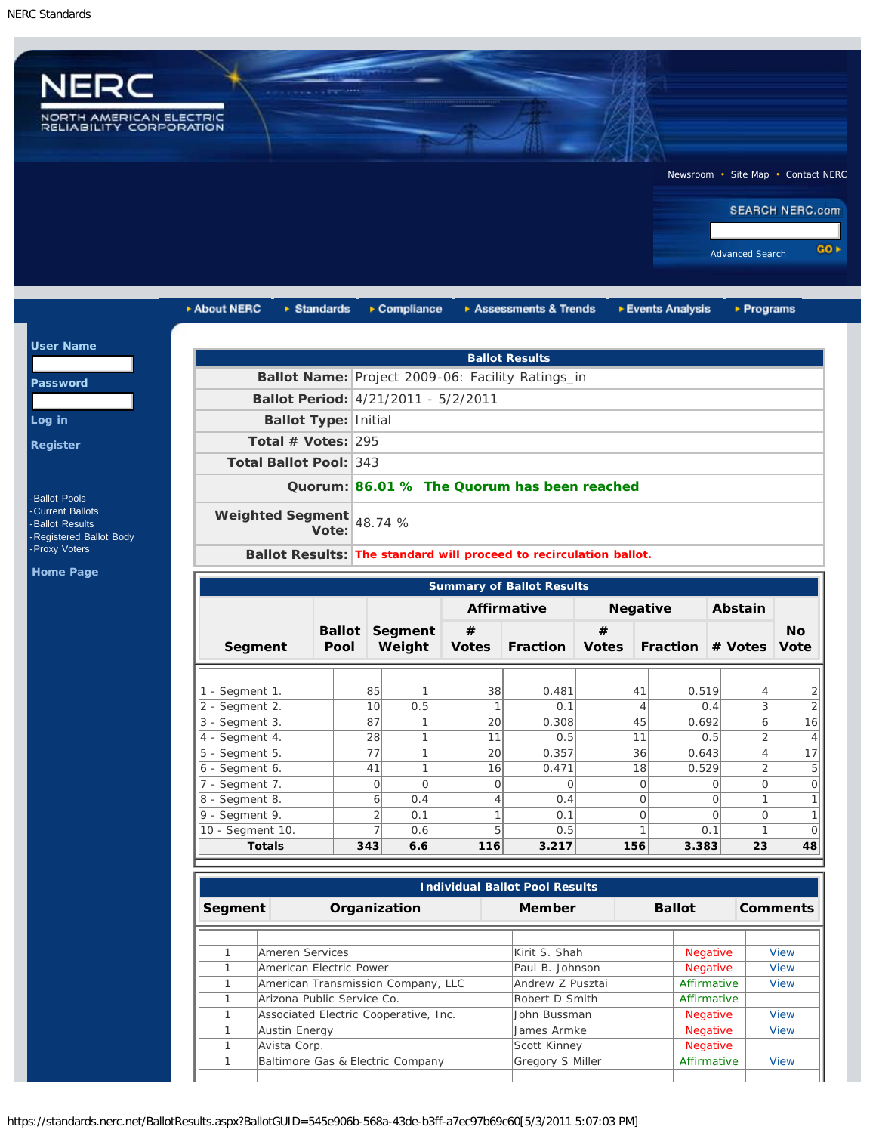

| <b>Ballot Type: Initial</b><br>Total # Votes: $295$<br><b>Total Ballot Pool: 343</b><br>Weighted Segment | Vote: |                            | 48.74 %                         | Ballot Period: 4/21/2011 - 5/2/2011                 | <b>Ballot Results</b><br>Ballot Name: Project 2009-06: Facility Ratings_in<br>Quorum: 86.01 % The Quorum has been reached<br>Ballot Results: The standard will proceed to recirculation ballot. |                         |                         |                           |                                                                                               |  |  |  |  |
|----------------------------------------------------------------------------------------------------------|-------|----------------------------|---------------------------------|-----------------------------------------------------|-------------------------------------------------------------------------------------------------------------------------------------------------------------------------------------------------|-------------------------|-------------------------|---------------------------|-----------------------------------------------------------------------------------------------|--|--|--|--|
|                                                                                                          |       |                            |                                 |                                                     |                                                                                                                                                                                                 |                         |                         |                           |                                                                                               |  |  |  |  |
|                                                                                                          |       |                            |                                 |                                                     |                                                                                                                                                                                                 |                         |                         |                           |                                                                                               |  |  |  |  |
|                                                                                                          |       |                            |                                 |                                                     |                                                                                                                                                                                                 |                         |                         |                           |                                                                                               |  |  |  |  |
|                                                                                                          |       |                            |                                 |                                                     |                                                                                                                                                                                                 |                         |                         |                           |                                                                                               |  |  |  |  |
|                                                                                                          |       |                            |                                 |                                                     |                                                                                                                                                                                                 |                         |                         |                           |                                                                                               |  |  |  |  |
|                                                                                                          |       |                            |                                 |                                                     |                                                                                                                                                                                                 |                         |                         |                           |                                                                                               |  |  |  |  |
|                                                                                                          |       |                            |                                 |                                                     |                                                                                                                                                                                                 |                         |                         |                           |                                                                                               |  |  |  |  |
|                                                                                                          |       |                            |                                 |                                                     |                                                                                                                                                                                                 |                         |                         |                           |                                                                                               |  |  |  |  |
|                                                                                                          |       |                            |                                 |                                                     |                                                                                                                                                                                                 |                         |                         |                           |                                                                                               |  |  |  |  |
|                                                                                                          |       |                            |                                 |                                                     |                                                                                                                                                                                                 |                         |                         |                           |                                                                                               |  |  |  |  |
|                                                                                                          |       |                            |                                 |                                                     |                                                                                                                                                                                                 |                         |                         |                           |                                                                                               |  |  |  |  |
|                                                                                                          |       |                            |                                 |                                                     | <b>Summary of Ballot Results</b>                                                                                                                                                                |                         |                         |                           |                                                                                               |  |  |  |  |
|                                                                                                          |       |                            |                                 |                                                     | <b>Affirmative</b>                                                                                                                                                                              | <b>Negative</b>         |                         | Abstain                   |                                                                                               |  |  |  |  |
| Segment                                                                                                  | Pool  |                            | <b>Ballot</b> Segment<br>Weight | #<br><b>Votes</b>                                   | <b>Fraction</b>                                                                                                                                                                                 | #<br><b>Votes</b>       | <b>Fraction # Votes</b> |                           | <b>No</b><br><b>Vote</b>                                                                      |  |  |  |  |
|                                                                                                          |       |                            |                                 |                                                     |                                                                                                                                                                                                 |                         |                         |                           |                                                                                               |  |  |  |  |
| 1 - Segment 1.                                                                                           |       | 85                         | 1                               | 38                                                  | 0.481                                                                                                                                                                                           | 41                      | 0.519                   | $\overline{4}$            |                                                                                               |  |  |  |  |
| 2 - Segment 2.                                                                                           |       | 10                         | 0.5                             | 1                                                   | 0.1                                                                                                                                                                                             | $\overline{4}$          | 0.4                     | $\ensuremath{\mathsf{3}}$ |                                                                                               |  |  |  |  |
| $3 - Segment 3$ .                                                                                        |       | 87                         | $\mathbf{1}$                    | 20                                                  | 0.308                                                                                                                                                                                           | 45                      | 0.692                   | 6                         | $\overline{16}$                                                                               |  |  |  |  |
| 4 - Segment 4.                                                                                           |       | 28                         | $\mathbf{1}$                    | 11                                                  | 0.5                                                                                                                                                                                             | 11                      |                         | $\overline{2}$            |                                                                                               |  |  |  |  |
| $5 - Segment 5$ .                                                                                        |       | 77                         | $\mathbf{1}$                    |                                                     | 0.357                                                                                                                                                                                           | 36                      |                         | $\overline{4}$            | $\overline{17}$                                                                               |  |  |  |  |
| $6$ - Segment 6.                                                                                         |       | 41                         | 1                               | 16                                                  | 0.471                                                                                                                                                                                           | 18                      |                         | $\overline{2}$            |                                                                                               |  |  |  |  |
| 7 - Segment 7.                                                                                           |       |                            | $\Omega$                        |                                                     | $\Omega$                                                                                                                                                                                        | $\mathbf{O}$            |                         | $\circ$                   |                                                                                               |  |  |  |  |
| 8 - Segment 8.                                                                                           |       |                            | 0.4                             | $\overline{4}$                                      | 0.4                                                                                                                                                                                             | $\mathbf{O}$            |                         | $\mathbf{1}$              |                                                                                               |  |  |  |  |
|                                                                                                          |       |                            |                                 | $\mathbf{1}$                                        | 0.1                                                                                                                                                                                             | $\circ$                 |                         | $\overline{O}$            |                                                                                               |  |  |  |  |
|                                                                                                          |       |                            |                                 |                                                     |                                                                                                                                                                                                 | $\mathbf{1}$            |                         |                           |                                                                                               |  |  |  |  |
|                                                                                                          |       | $ 9 - \text{Segment } 9$ . |                                 | $\Omega$<br>$\overline{6}$<br>$\overline{2}$<br>0.1 | 7                                                                                                                                                                                               | 20<br>$\mathbf{O}$<br>5 |                         | 0.6<br>0.1<br>0.5         | 0.5<br>0.643<br>0.529<br>$\Omega$<br>$\Omega$<br>$\Omega$<br>10 - Segment 10.<br>$\mathbf{1}$ |  |  |  |  |

| <b>Individual Ballot Pool Results</b> |                                       |                  |  |                 |                 |  |  |
|---------------------------------------|---------------------------------------|------------------|--|-----------------|-----------------|--|--|
| Segment                               | Organization                          | Member           |  | <b>Ballot</b>   | <b>Comments</b> |  |  |
|                                       |                                       |                  |  |                 |                 |  |  |
|                                       | Ameren Services                       | Kirit S. Shah    |  | <b>Negative</b> | <b>View</b>     |  |  |
|                                       | American Electric Power               | Paul B. Johnson  |  | <b>Negative</b> | <b>View</b>     |  |  |
|                                       | American Transmission Company, LLC    | Andrew Z Pusztai |  | Affirmative     | <b>View</b>     |  |  |
|                                       | Arizona Public Service Co.            | Robert D Smith   |  | Affirmative     |                 |  |  |
|                                       | Associated Electric Cooperative, Inc. | Uohn Bussman     |  | <b>Negative</b> | <b>View</b>     |  |  |
|                                       | Austin Energy                         | James Armke      |  | Negative        | <b>View</b>     |  |  |
|                                       | Avista Corp.                          | Scott Kinney     |  | Negative        |                 |  |  |
|                                       | Baltimore Gas & Electric Company      | Gregory S Miller |  | Affirmative     | View            |  |  |

Pa

Lo

 $|$  Us

Re

-[Ballot Pools](https://standards.nerc.net/BallotPool.aspx) -[Current Ballots](https://standards.nerc.net/CurrentBallots.aspx) -[Ballot Results](https://standards.nerc.net/Ballots.aspx) -[Registered Ballot Body](https://standards.nerc.net/rbb.aspx) -[Proxy Voters](https://standards.nerc.net/Proxies.aspx)

Ho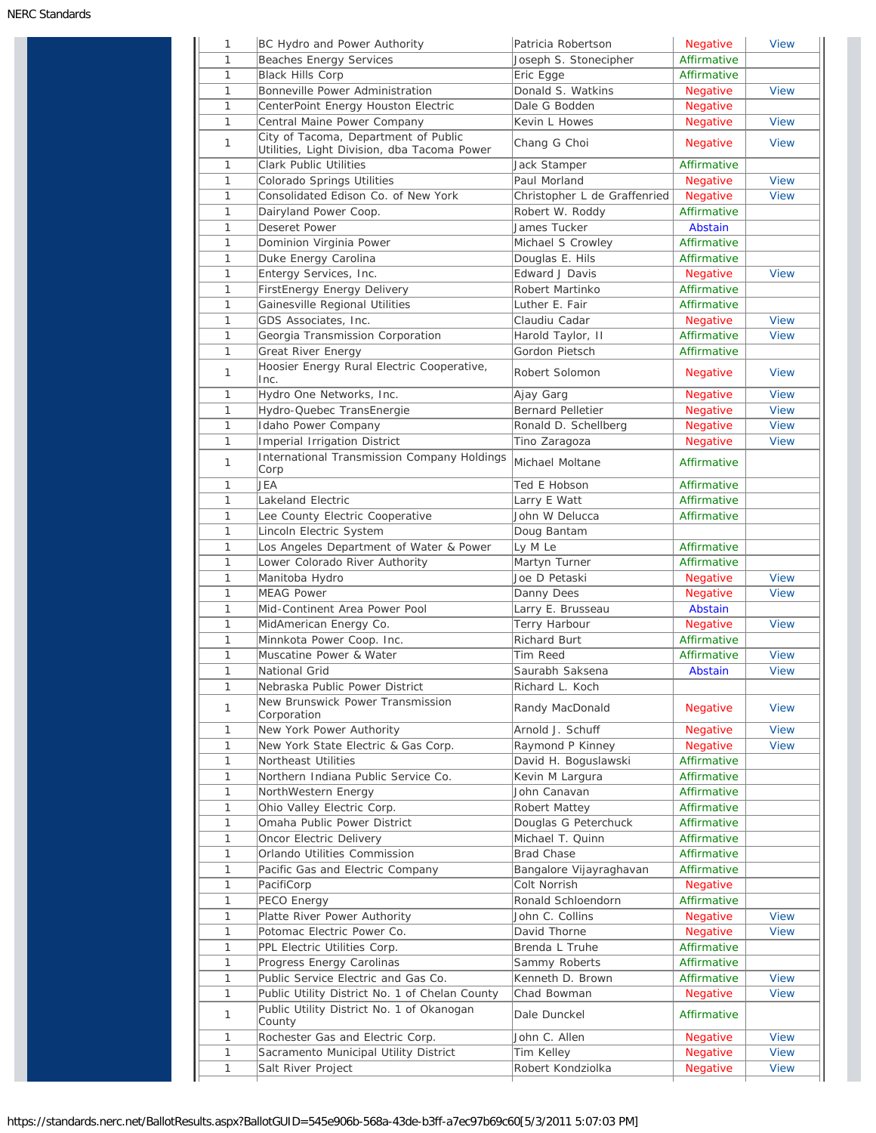| 1            | BC Hydro and Power Authority                                                        | Patricia Robertson           | Negative                    | <b>View</b> |
|--------------|-------------------------------------------------------------------------------------|------------------------------|-----------------------------|-------------|
| 1            | <b>Beaches Energy Services</b>                                                      | Joseph S. Stonecipher        | Affirmative                 |             |
| 1            | <b>Black Hills Corp</b>                                                             | Eric Egge                    | Affirmative                 |             |
| 1            | Bonneville Power Administration                                                     | Donald S. Watkins            | <b>Negative</b>             | <b>View</b> |
| 1            | CenterPoint Energy Houston Electric                                                 | Dale G Bodden                | Negative                    |             |
| 1            | Central Maine Power Company                                                         | Kevin L Howes                | <b>Negative</b>             | <b>View</b> |
| 1            | City of Tacoma, Department of Public<br>Utilities, Light Division, dba Tacoma Power | Chang G Choi                 | Negative                    | <b>View</b> |
| 1            | <b>Clark Public Utilities</b>                                                       | Jack Stamper                 | Affirmative                 |             |
| 1            | Colorado Springs Utilities                                                          | Paul Morland                 | Negative                    | <b>View</b> |
| 1            | Consolidated Edison Co. of New York                                                 | Christopher L de Graffenried | Negative                    | <b>View</b> |
| $\mathbf{1}$ | Dairyland Power Coop.                                                               | Robert W. Roddy              | Affirmative                 |             |
| 1            | <b>Deseret Power</b>                                                                | James Tucker                 | Abstain                     |             |
| 1            | Dominion Virginia Power                                                             | Michael S Crowley            | Affirmative                 |             |
| $\mathbf{1}$ | Duke Energy Carolina                                                                | Douglas E. Hils              | Affirmative                 |             |
| 1            | Entergy Services, Inc.                                                              | <b>Edward J Davis</b>        | Negative                    | <b>View</b> |
| $\mathbf{1}$ | FirstEnergy Energy Delivery                                                         | Robert Martinko              | Affirmative                 |             |
| 1            | Gainesville Regional Utilities                                                      | Luther E. Fair               | Affirmative                 |             |
| 1            | GDS Associates, Inc.                                                                | Claudiu Cadar                | <b>Negative</b>             | <b>View</b> |
| 1            | Georgia Transmission Corporation                                                    | Harold Taylor, II            | Affirmative                 | <b>View</b> |
| 1            |                                                                                     | Gordon Pietsch               | Affirmative                 |             |
| 1            | Great River Energy<br>Hoosier Energy Rural Electric Cooperative,                    | Robert Solomon               | <b>Negative</b>             | <b>View</b> |
|              | Inc.                                                                                |                              |                             |             |
| $\mathbf{1}$ | Hydro One Networks, Inc.                                                            | Ajay Garg                    | <b>Negative</b>             | <b>View</b> |
| 1            | Hydro-Quebec TransEnergie                                                           | <b>Bernard Pelletier</b>     | Negative                    | <b>View</b> |
| $\mathbf{1}$ | Idaho Power Company                                                                 | Ronald D. Schellberg         | <b>Negative</b>             | <b>View</b> |
| 1            | <b>Imperial Irrigation District</b>                                                 | Tino Zaragoza                | Negative                    | <b>View</b> |
| 1            | International Transmission Company Holdings<br>Corp                                 | Michael Moltane              | Affirmative                 |             |
| $\mathbf{1}$ | JEA                                                                                 | Ted E Hobson                 | Affirmative                 |             |
| 1            | Lakeland Electric                                                                   | Larry E Watt                 | Affirmative                 |             |
| 1            | Lee County Electric Cooperative                                                     | John W Delucca               | Affirmative                 |             |
| $\mathbf{1}$ | Lincoln Electric System                                                             | Doug Bantam                  |                             |             |
| $\mathbf{1}$ | Los Angeles Department of Water & Power                                             | Ly M Le                      | Affirmative                 |             |
| $\mathbf{1}$ | Lower Colorado River Authority                                                      | Martyn Turner                | Affirmative                 |             |
| 1            | Manitoba Hydro                                                                      | Joe D Petaski                | <b>Negative</b>             | <b>View</b> |
| 1            | <b>MEAG Power</b>                                                                   | Danny Dees                   | Negative                    | <b>View</b> |
| 1            | Mid-Continent Area Power Pool                                                       | Larry E. Brusseau            | Abstain                     |             |
|              |                                                                                     |                              |                             |             |
| 1            | MidAmerican Energy Co.                                                              | Terry Harbour                | Negative                    | <b>View</b> |
| 1            | Minnkota Power Coop. Inc.                                                           | <b>Richard Burt</b>          | Affirmative                 |             |
| $\mathbf{1}$ | Muscatine Power & Water                                                             | Tim Reed                     | Affirmative                 | <b>View</b> |
| 1            | National Grid                                                                       | Saurabh Saksena              | Abstain                     | <b>View</b> |
| $\mathbf{1}$ | Nebraska Public Power District                                                      | Richard L. Koch              |                             |             |
| 1            | New Brunswick Power Transmission<br>Corporation                                     | Randy MacDonald              | Negative                    | <b>View</b> |
| 1            | New York Power Authority                                                            | Arnold J. Schuff             | <b>Negative</b>             | <b>View</b> |
| $\mathbf{1}$ | New York State Electric & Gas Corp.                                                 | Raymond P Kinney             | Negative                    | <b>View</b> |
| 1            | Northeast Utilities                                                                 | David H. Boguslawski         | Affirmative                 |             |
| $\mathbf{1}$ | Northern Indiana Public Service Co.                                                 | Kevin M Largura              | Affirmative                 |             |
| 1            | NorthWestern Energy                                                                 | John Canavan                 | Affirmative                 |             |
| 1            | Ohio Valley Electric Corp.                                                          | Robert Mattey                | Affirmative                 |             |
| $\mathbf{1}$ | Omaha Public Power District                                                         | Douglas G Peterchuck         | Affirmative                 |             |
| 1            |                                                                                     | Michael T. Quinn             | Affirmative                 |             |
|              |                                                                                     |                              |                             |             |
|              | Oncor Electric Delivery                                                             |                              |                             |             |
| 1            | Orlando Utilities Commission                                                        | <b>Brad Chase</b>            | Affirmative                 |             |
| 1            | Pacific Gas and Electric Company                                                    | Bangalore Vijayraghavan      | Affirmative                 |             |
| 1            | PacifiCorp                                                                          | Colt Norrish                 | <b>Negative</b>             |             |
| 1            | PECO Energy                                                                         | Ronald Schloendorn           | Affirmative                 |             |
| $\mathbf{1}$ | Platte River Power Authority                                                        | John C. Collins              | Negative                    | <b>View</b> |
| 1            | Potomac Electric Power Co.                                                          | David Thorne                 | Negative                    | <b>View</b> |
| 1            | PPL Electric Utilities Corp.                                                        | Brenda L Truhe               | Affirmative                 |             |
| 1            | Progress Energy Carolinas                                                           | Sammy Roberts                | Affirmative                 |             |
| 1            | Public Service Electric and Gas Co.                                                 | Kenneth D. Brown             | Affirmative                 | <b>View</b> |
| $\mathbf{1}$ | Public Utility District No. 1 of Chelan County                                      | Chad Bowman                  | Negative                    | <b>View</b> |
| 1            | Public Utility District No. 1 of Okanogan                                           | Dale Dunckel                 | Affirmative                 |             |
|              | County                                                                              |                              |                             | <b>View</b> |
| 1<br>1       | Rochester Gas and Electric Corp.<br>Sacramento Municipal Utility District           | John C. Allen<br>Tim Kelley  | Negative<br><b>Negative</b> | <b>View</b> |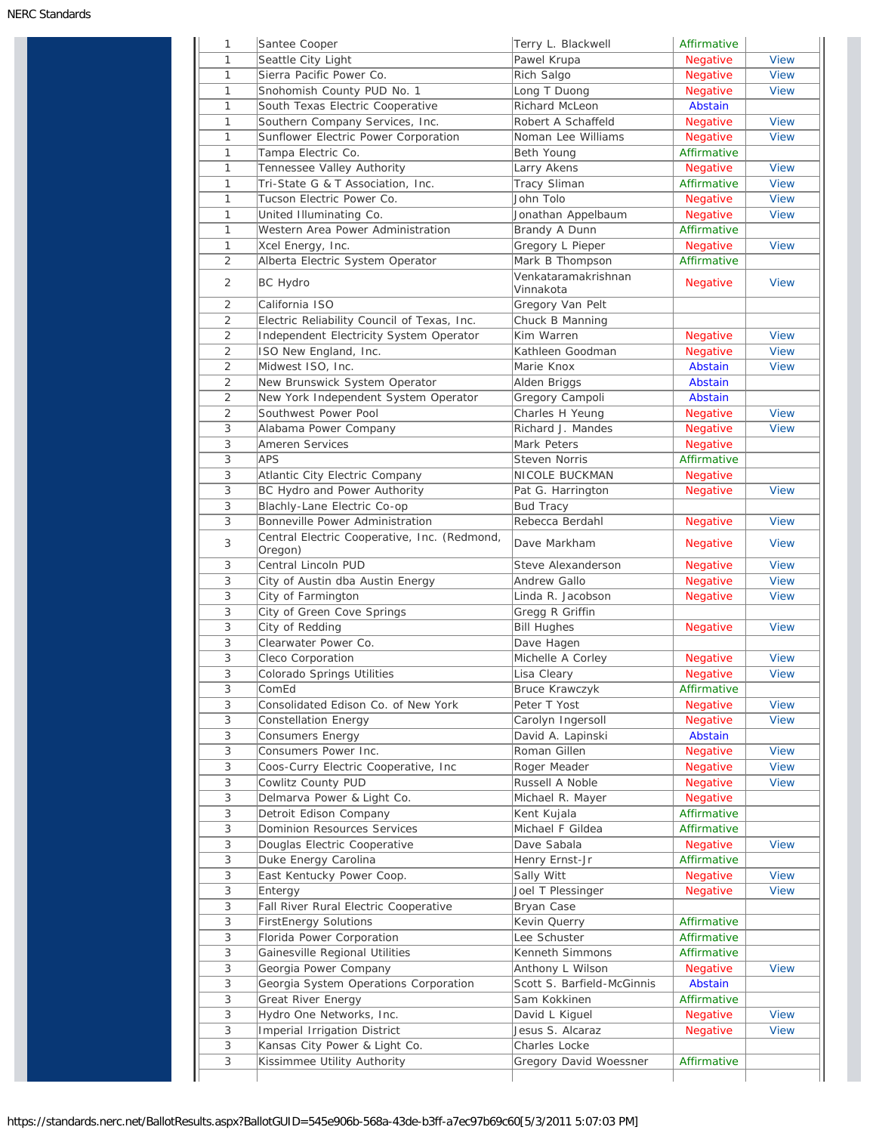| 1                         | Santee Cooper                                | Terry L. Blackwell               | Affirmative     |             |
|---------------------------|----------------------------------------------|----------------------------------|-----------------|-------------|
| 1                         | Seattle City Light                           | Pawel Krupa                      | <b>Negative</b> | <b>View</b> |
| $\mathbf{1}$              | Sierra Pacific Power Co.                     | Rich Salgo                       | Negative        | <b>View</b> |
| 1                         | Snohomish County PUD No. 1                   | Long T Duong                     | Negative        | <b>View</b> |
| $\mathbf{1}$              | South Texas Electric Cooperative             | Richard McLeon                   | Abstain         |             |
| 1                         | Southern Company Services, Inc.              | Robert A Schaffeld               | Negative        | <b>View</b> |
| 1                         | Sunflower Electric Power Corporation         | Noman Lee Williams               | Negative        | <b>View</b> |
| 1                         | Tampa Electric Co.                           | Beth Young                       | Affirmative     |             |
| $\mathbf{1}$              | Tennessee Valley Authority                   | Larry Akens                      | Negative        | <b>View</b> |
| $\mathbf{1}$              | Tri-State G & T Association, Inc.            | <b>Tracy Sliman</b>              | Affirmative     | <b>View</b> |
| $\mathbf{1}$              | Tucson Electric Power Co.                    | John Tolo                        | <b>Negative</b> | <b>View</b> |
| 1                         | United Illuminating Co.                      | Jonathan Appelbaum               | <b>Negative</b> | <b>View</b> |
| 1                         | Western Area Power Administration            | Brandy A Dunn                    | Affirmative     |             |
| $\mathbf{1}$              | Xcel Energy, Inc.                            | Gregory L Pieper                 | <b>Negative</b> | <b>View</b> |
| 2                         | Alberta Electric System Operator             | Mark B Thompson                  | Affirmative     |             |
| 2                         | BC Hydro                                     | Venkataramakrishnan<br>Vinnakota | Negative        | <b>View</b> |
| 2                         | California ISO                               | Gregory Van Pelt                 |                 |             |
| 2                         | Electric Reliability Council of Texas, Inc.  | Chuck B Manning                  |                 |             |
| 2                         | Independent Electricity System Operator      | Kim Warren                       | Negative        | <b>View</b> |
| 2                         | ISO New England, Inc.                        | Kathleen Goodman                 | Negative        | <b>View</b> |
| 2                         | Midwest ISO, Inc.                            | Marie Knox                       | <b>Abstain</b>  | <b>View</b> |
| $\overline{2}$            | New Brunswick System Operator                | Alden Briggs                     | Abstain         |             |
| 2                         | New York Independent System Operator         | Gregory Campoli                  | Abstain         |             |
| 2                         | Southwest Power Pool                         | Charles H Yeung                  | <b>Negative</b> | <b>View</b> |
| 3                         | Alabama Power Company                        | Richard J. Mandes                | Negative        | <b>View</b> |
| 3                         | Ameren Services                              | Mark Peters                      | <b>Negative</b> |             |
| 3                         | <b>APS</b>                                   | <b>Steven Norris</b>             | Affirmative     |             |
| 3                         | Atlantic City Electric Company               | NICOLE BUCKMAN                   | <b>Negative</b> |             |
| 3                         | BC Hydro and Power Authority                 | Pat G. Harrington                | <b>Negative</b> | <b>View</b> |
| 3                         | Blachly-Lane Electric Co-op                  | <b>Bud Tracy</b>                 |                 |             |
| 3                         | Bonneville Power Administration              | Rebecca Berdahl                  | <b>Negative</b> | <b>View</b> |
| 3                         | Central Electric Cooperative, Inc. (Redmond, | Dave Markham                     | <b>Negative</b> | <b>View</b> |
|                           | Oregon)                                      |                                  |                 |             |
| 3                         | Central Lincoln PUD                          | Steve Alexanderson               | <b>Negative</b> | <b>View</b> |
| 3                         | City of Austin dba Austin Energy             | Andrew Gallo                     | Negative        | <b>View</b> |
| 3                         | City of Farmington                           | Linda R. Jacobson                | Negative        | <b>View</b> |
| 3                         | City of Green Cove Springs                   | Gregg R Griffin                  |                 |             |
| 3                         | City of Redding                              | <b>Bill Hughes</b>               | Negative        | <b>View</b> |
| 3                         | Clearwater Power Co.                         | Dave Hagen                       |                 |             |
| 3                         | Cleco Corporation                            | Michelle A Corley                | <b>Negative</b> | View        |
| $\ensuremath{\mathsf{3}}$ | Colorado Springs Utilities                   | Lisa Cleary                      | Negative        | <b>View</b> |
| 3                         | ComEd                                        | Bruce Krawczyk                   | Affirmative     |             |
| 3                         | Consolidated Edison Co. of New York          | Peter T Yost                     | Negative        | <b>View</b> |
| 3                         | Constellation Energy                         | Carolyn Ingersoll                | <b>Negative</b> | <b>View</b> |
| $\ensuremath{\mathsf{3}}$ | <b>Consumers Energy</b>                      | David A. Lapinski                | Abstain         |             |
| 3                         | Consumers Power Inc.                         | Roman Gillen                     | Negative        | <b>View</b> |
| 3                         | Coos-Curry Electric Cooperative, Inc         | Roger Meader                     | Negative        | <b>View</b> |
| 3                         | Cowlitz County PUD                           | Russell A Noble                  | <b>Negative</b> | <b>View</b> |
| 3                         | Delmarva Power & Light Co.                   | Michael R. Mayer                 | Negative        |             |
| 3                         | Detroit Edison Company                       | Kent Kujala                      | Affirmative     |             |
| 3                         | Dominion Resources Services                  | Michael F Gildea                 | Affirmative     |             |
| 3                         | Douglas Electric Cooperative                 | Dave Sabala                      | Negative        | <b>View</b> |
| 3                         | Duke Energy Carolina                         | Henry Ernst-Jr                   | Affirmative     |             |
| 3                         | East Kentucky Power Coop.                    | Sally Witt                       | Negative        | <b>View</b> |
| 3                         | Entergy                                      | Joel T Plessinger                | Negative        | <b>View</b> |
| 3                         | Fall River Rural Electric Cooperative        | Bryan Case                       |                 |             |
| 3                         | <b>FirstEnergy Solutions</b>                 | Kevin Querry                     | Affirmative     |             |
| 3                         | Florida Power Corporation                    | Lee Schuster                     | Affirmative     |             |
| 3                         | Gainesville Regional Utilities               | Kenneth Simmons                  | Affirmative     |             |
| 3                         | Georgia Power Company                        | Anthony L Wilson                 | <b>Negative</b> | <b>View</b> |
| 3                         | Georgia System Operations Corporation        | Scott S. Barfield-McGinnis       | Abstain         |             |
| 3                         | Great River Energy                           | Sam Kokkinen                     | Affirmative     |             |
| 3                         | Hydro One Networks, Inc.                     | David L Kiguel                   | <b>Negative</b> | <b>View</b> |
|                           | Imperial Irrigation District                 | Jesus S. Alcaraz                 | Negative        | <b>View</b> |
| 3                         |                                              |                                  |                 |             |
| 3                         | Kansas City Power & Light Co.                | Charles Locke                    |                 |             |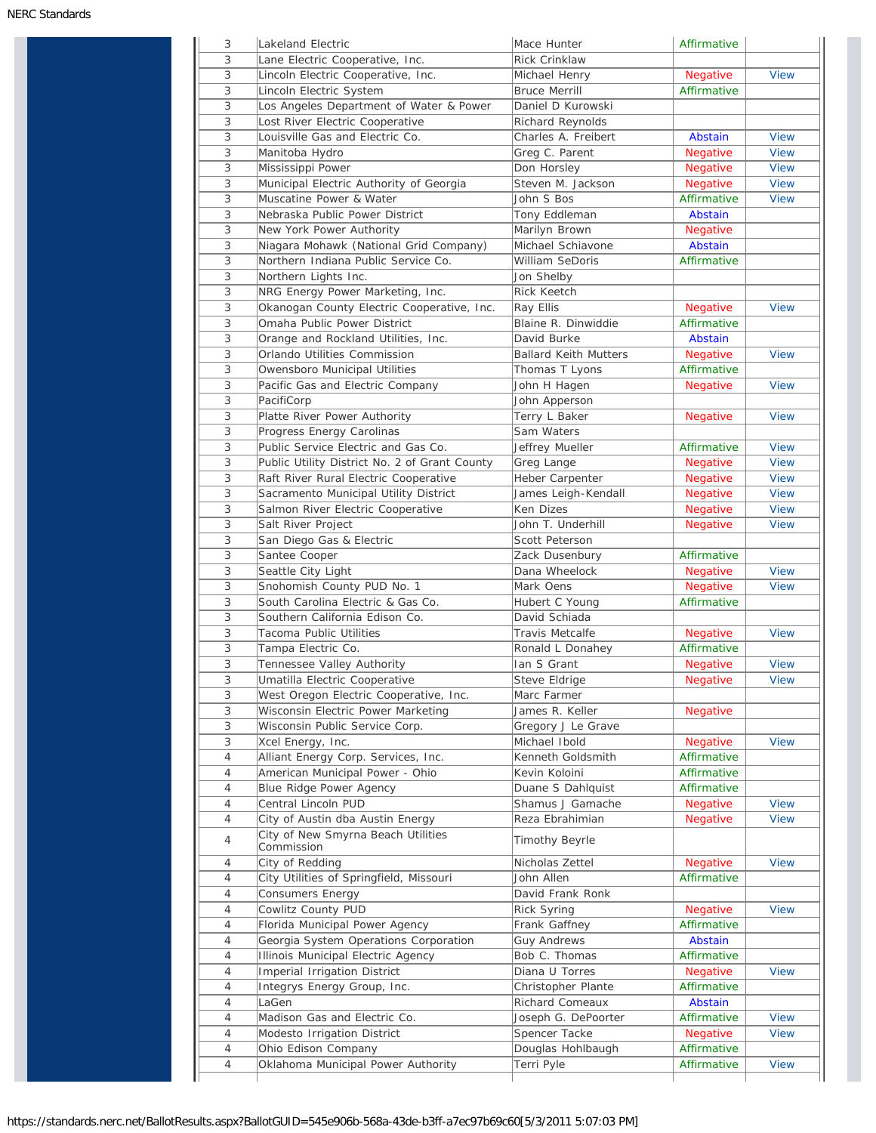| 3              | Lakeland Electric                             | Mace Hunter                  | Affirmative             |             |
|----------------|-----------------------------------------------|------------------------------|-------------------------|-------------|
| 3              | Lane Electric Cooperative, Inc.               | <b>Rick Crinklaw</b>         |                         |             |
| 3              | Lincoln Electric Cooperative, Inc.            | Michael Henry                | Negative                | <b>View</b> |
| 3              | Lincoln Electric System                       | <b>Bruce Merrill</b>         | Affirmative             |             |
| 3              | Los Angeles Department of Water & Power       | Daniel D Kurowski            |                         |             |
| 3              | Lost River Electric Cooperative               | Richard Reynolds             |                         |             |
| 3              | Louisville Gas and Electric Co.               | Charles A. Freibert          | Abstain                 | <b>View</b> |
| 3              | Manitoba Hydro                                | Greg C. Parent               | <b>Negative</b>         | <b>View</b> |
| 3              | Mississippi Power                             | Don Horsley                  | <b>Negative</b>         | <b>View</b> |
| 3              | Municipal Electric Authority of Georgia       | Steven M. Jackson            | <b>Negative</b>         | <b>View</b> |
| 3              | Muscatine Power & Water                       | John S Bos                   | Affirmative             | <b>View</b> |
| 3              | Nebraska Public Power District                | Tony Eddleman                | Abstain                 |             |
| 3              | New York Power Authority                      | Marilyn Brown                | <b>Negative</b>         |             |
| 3              | Niagara Mohawk (National Grid Company)        | Michael Schiavone            | Abstain                 |             |
| 3              | Northern Indiana Public Service Co.           | William SeDoris              | Affirmative             |             |
| 3              | Northern Lights Inc.                          | Jon Shelby                   |                         |             |
| 3              | NRG Energy Power Marketing, Inc.              | <b>Rick Keetch</b>           |                         |             |
| 3              | Okanogan County Electric Cooperative, Inc.    | Ray Ellis                    | Negative                | <b>View</b> |
| 3              | Omaha Public Power District                   | Blaine R. Dinwiddie          | Affirmative             |             |
| 3              | Orange and Rockland Utilities, Inc.           | David Burke                  | Abstain                 |             |
| 3              | Orlando Utilities Commission                  | <b>Ballard Keith Mutters</b> | <b>Negative</b>         | <b>View</b> |
| 3              | Owensboro Municipal Utilities                 | Thomas T Lyons               | Affirmative             |             |
| 3              | Pacific Gas and Electric Company              | John H Hagen                 | Negative                | <b>View</b> |
| 3              | PacifiCorp                                    | John Apperson                |                         |             |
| 3              | Platte River Power Authority                  | Terry L Baker                | Negative                | <b>View</b> |
| 3              | Progress Energy Carolinas                     | Sam Waters                   |                         |             |
| 3              | Public Service Electric and Gas Co.           | Jeffrey Mueller              | Affirmative             | <b>View</b> |
| 3              | Public Utility District No. 2 of Grant County | Greg Lange                   | <b>Negative</b>         | <b>View</b> |
| 3              | Raft River Rural Electric Cooperative         | Heber Carpenter              | Negative                | <b>View</b> |
| 3              | Sacramento Municipal Utility District         | James Leigh-Kendall          | Negative                | <b>View</b> |
| 3              | Salmon River Electric Cooperative             | Ken Dizes                    | <b>Negative</b>         | <b>View</b> |
| 3              | Salt River Project                            | John T. Underhill            | Negative                | <b>View</b> |
| 3              | San Diego Gas & Electric                      | Scott Peterson               |                         |             |
| 3              | Santee Cooper                                 | Zack Dusenbury               | Affirmative             |             |
| 3              | Seattle City Light                            | Dana Wheelock                | Negative                | <b>View</b> |
| 3              | Snohomish County PUD No. 1                    | Mark Oens                    | <b>Negative</b>         | <b>View</b> |
| 3              | South Carolina Electric & Gas Co.             | Hubert C Young               | Affirmative             |             |
| 3              | Southern California Edison Co.                | David Schiada                |                         |             |
| 3              | Tacoma Public Utilities                       | <b>Travis Metcalfe</b>       | <b>Negative</b>         | <b>View</b> |
| 3              | Tampa Electric Co.                            | Ronald L Donahey             | Affirmative             |             |
| 3              | Tennessee Valley Authority                    | Ian S Grant                  | <b>Negative</b>         | <b>View</b> |
| 3              | Umatilla Electric Cooperative                 | Steve Eldrige                | <b>Negative</b>         | View        |
| 3              | West Oregon Electric Cooperative, Inc.        | Marc Farmer                  |                         |             |
| 3              | Wisconsin Electric Power Marketing            | James R. Keller              | <b>Negative</b>         |             |
| 3              | Wisconsin Public Service Corp.                | Gregory J Le Grave           |                         |             |
| 3              | Xcel Energy, Inc.                             | Michael Ibold                | Negative                | <b>View</b> |
| 4              | Alliant Energy Corp. Services, Inc.           | Kenneth Goldsmith            | Affirmative             |             |
| 4              | American Municipal Power - Ohio               | Kevin Koloini                | Affirmative             |             |
| 4              | Blue Ridge Power Agency                       | Duane S Dahlquist            | Affirmative             |             |
| $\overline{4}$ | Central Lincoln PUD                           | Shamus J Gamache             | Negative                | <b>View</b> |
| 4              | City of Austin dba Austin Energy              | Reza Ebrahimian              | Negative                | <b>View</b> |
|                | City of New Smyrna Beach Utilities            |                              |                         |             |
| $\overline{4}$ | Commission                                    | <b>Timothy Beyrle</b>        |                         |             |
| 4              | City of Redding                               | Nicholas Zettel              | <b>Negative</b>         | <b>View</b> |
| $\overline{4}$ | City Utilities of Springfield, Missouri       | John Allen                   | Affirmative             |             |
| 4              | Consumers Energy                              | David Frank Ronk             |                         |             |
| 4              | Cowlitz County PUD                            | <b>Rick Syring</b>           | Negative                | <b>View</b> |
| $\overline{4}$ | Florida Municipal Power Agency                | Frank Gaffney                | Affirmative             |             |
| $\overline{4}$ | Georgia System Operations Corporation         | <b>Guy Andrews</b>           | Abstain                 |             |
| $\overline{4}$ | Illinois Municipal Electric Agency            | Bob C. Thomas                | Affirmative             |             |
| $\overline{4}$ | Imperial Irrigation District                  | Diana U Torres               | Negative                | <b>View</b> |
| 4              | Integrys Energy Group, Inc.                   | Christopher Plante           | Affirmative             |             |
| 4              | LaGen                                         | Richard Comeaux              | Abstain                 |             |
|                | Madison Gas and Electric Co.                  |                              |                         |             |
| 4              |                                               | Joseph G. DePoorter          | Affirmative             | <b>View</b> |
| 4              | Modesto Irrigation District                   | Spencer Tacke                | Negative<br>Affirmative | <b>View</b> |
| $\overline{4}$ | Ohio Edison Company                           | Douglas Hohlbaugh            |                         |             |
| 4              | Oklahoma Municipal Power Authority            | Terri Pyle                   | Affirmative             | <b>View</b> |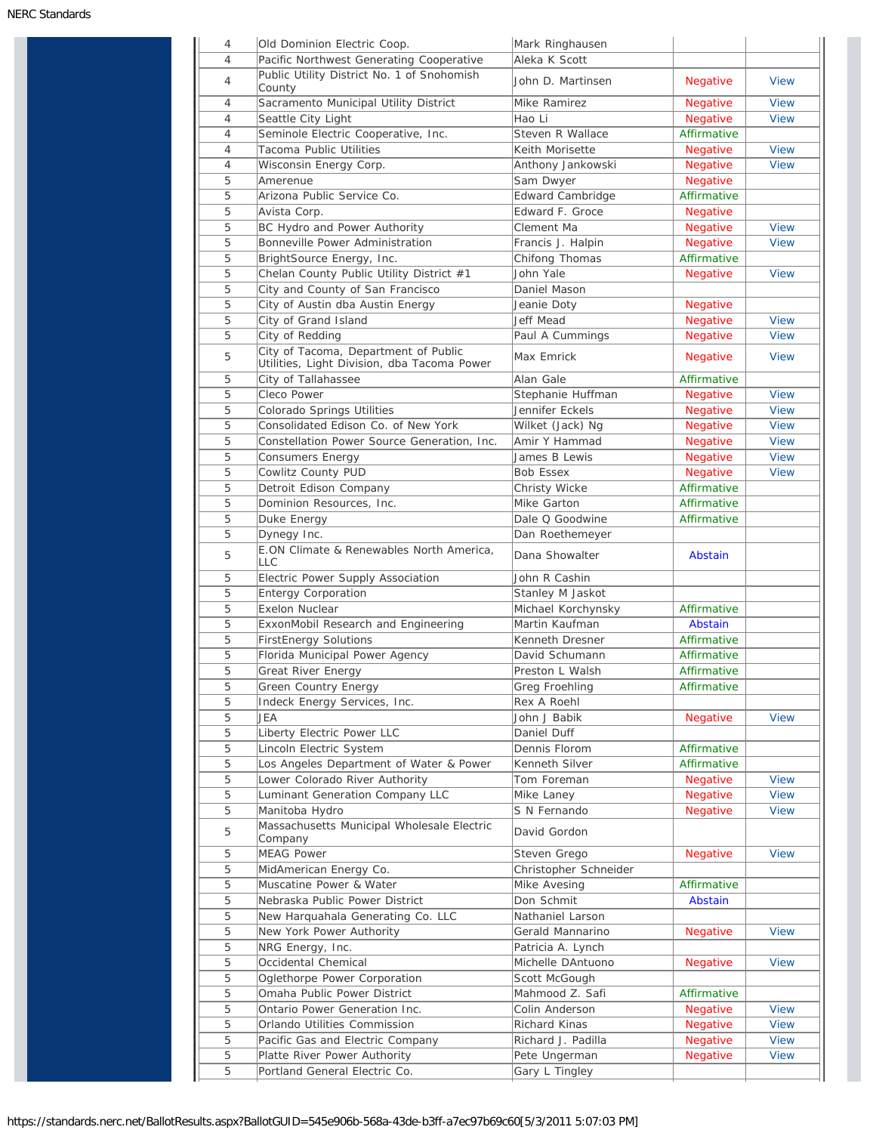|        | Old Dominion Electric Coop.<br>Pacific Northwest Generating Cooperative             | Mark Ringhausen<br>Aleka K Scott    |                      |                                                                                                       |
|--------|-------------------------------------------------------------------------------------|-------------------------------------|----------------------|-------------------------------------------------------------------------------------------------------|
| 4      | Public Utility District No. 1 of Snohomish<br>County                                | John D. Martinsen                   | <b>Negative</b>      | <b>View</b>                                                                                           |
| 4      | Sacramento Municipal Utility District                                               | Mike Ramirez                        | <b>Negative</b>      | <b>View</b>                                                                                           |
| 4      | Seattle City Light                                                                  | Hao Li                              | Negative             | <b>View</b>                                                                                           |
| 4      | Seminole Electric Cooperative, Inc.                                                 | Steven R Wallace                    | Affirmative          |                                                                                                       |
| 4      | Tacoma Public Utilities                                                             | Keith Morisette                     | <b>Negative</b>      | <b>View</b>                                                                                           |
| 4      | Wisconsin Energy Corp.                                                              | Anthony Jankowski                   | <b>Negative</b>      | <b>View</b>                                                                                           |
| 5      | Amerenue                                                                            | Sam Dwyer                           | <b>Negative</b>      |                                                                                                       |
| 5      | Arizona Public Service Co.                                                          | <b>Edward Cambridge</b>             | Affirmative          |                                                                                                       |
| 5      |                                                                                     | Edward F. Groce                     |                      |                                                                                                       |
|        | Avista Corp.                                                                        |                                     | <b>Negative</b>      |                                                                                                       |
| 5      | BC Hydro and Power Authority                                                        | Clement Ma                          | Negative             | <b>View</b>                                                                                           |
| 5      | Bonneville Power Administration                                                     | Francis J. Halpin                   | <b>Negative</b>      | <b>View</b>                                                                                           |
| 5      | BrightSource Energy, Inc.                                                           | Chifong Thomas                      | Affirmative          |                                                                                                       |
| 5      | Chelan County Public Utility District #1                                            | John Yale                           | <b>Negative</b>      | <b>View</b>                                                                                           |
| 5      | City and County of San Francisco                                                    | Daniel Mason                        |                      |                                                                                                       |
| 5      | City of Austin dba Austin Energy                                                    | Jeanie Doty                         | Negative             |                                                                                                       |
| 5      | City of Grand Island                                                                | Jeff Mead                           | <b>Negative</b>      | <b>View</b>                                                                                           |
| 5      | City of Redding                                                                     | Paul A Cummings                     | <b>Negative</b>      | <b>View</b>                                                                                           |
| 5      | City of Tacoma, Department of Public<br>Utilities, Light Division, dba Tacoma Power | Max Emrick                          | <b>Negative</b>      | <b>View</b>                                                                                           |
| 5      | City of Tallahassee                                                                 | Alan Gale                           | Affirmative          |                                                                                                       |
| 5      | Cleco Power                                                                         | Stephanie Huffman                   | <b>Negative</b>      | <b>View</b>                                                                                           |
| 5      | Colorado Springs Utilities                                                          | Jennifer Eckels                     | <b>Negative</b>      | <b>View</b>                                                                                           |
|        |                                                                                     |                                     |                      |                                                                                                       |
| 5      | Consolidated Edison Co. of New York                                                 | Wilket (Jack) Ng                    | <b>Negative</b>      | <b>View</b>                                                                                           |
| 5      | Constellation Power Source Generation, Inc.                                         | Amir Y Hammad                       | <b>Negative</b>      | <b>View</b>                                                                                           |
| 5      | <b>Consumers Energy</b>                                                             | James B Lewis                       | <b>Negative</b>      | <b>View</b>                                                                                           |
| 5      | Cowlitz County PUD                                                                  | <b>Bob Essex</b>                    | <b>Negative</b>      | <b>View</b>                                                                                           |
| 5      | Detroit Edison Company                                                              | Christy Wicke                       | Affirmative          |                                                                                                       |
| 5      | Dominion Resources, Inc.                                                            | Mike Garton                         | Affirmative          |                                                                                                       |
| 5      | Duke Energy                                                                         | Dale Q Goodwine                     | Affirmative          |                                                                                                       |
| 5      | Dynegy Inc.                                                                         | Dan Roethemeyer                     |                      |                                                                                                       |
| 5      | E.ON Climate & Renewables North America,<br>LLC                                     | Dana Showalter                      | Abstain              |                                                                                                       |
| 5      | Electric Power Supply Association                                                   | John R Cashin                       |                      |                                                                                                       |
| 5      | <b>Entergy Corporation</b>                                                          | Stanley M Jaskot                    |                      |                                                                                                       |
| 5      | Exelon Nuclear                                                                      | Michael Korchynsky                  | Affirmative          |                                                                                                       |
| 5      | ExxonMobil Research and Engineering                                                 | Martin Kaufman                      | Abstain              |                                                                                                       |
| 5      | <b>FirstEnergy Solutions</b>                                                        | Kenneth Dresner                     | Affirmative          |                                                                                                       |
| 5      |                                                                                     | David Schumann                      |                      |                                                                                                       |
|        | Florida Municipal Power Agency                                                      |                                     | Affirmative          |                                                                                                       |
| 5      | Great River Energy                                                                  | Preston L Walsh                     | Affirmative          |                                                                                                       |
| 5      | Green Country Energy                                                                | Greg Froehling                      | Affirmative          |                                                                                                       |
| 5      | Indeck Energy Services, Inc.                                                        | Rex A Roehl                         |                      |                                                                                                       |
| 5      | JEA                                                                                 | John J Babik                        | Negative             |                                                                                                       |
|        | Liberty Electric Power LLC                                                          |                                     |                      |                                                                                                       |
| 5      |                                                                                     | Daniel Duff                         |                      |                                                                                                       |
| 5      | Lincoln Electric System                                                             | Dennis Florom                       | Affirmative          | <b>View</b>                                                                                           |
| 5      | Los Angeles Department of Water & Power                                             | Kenneth Silver                      | Affirmative          |                                                                                                       |
| 5      | Lower Colorado River Authority                                                      | Tom Foreman                         | Negative             |                                                                                                       |
| 5      | Luminant Generation Company LLC                                                     | Mike Laney                          | Negative             |                                                                                                       |
| 5      | Manitoba Hydro                                                                      | S N Fernando                        | Negative             |                                                                                                       |
| 5      | Massachusetts Municipal Wholesale Electric                                          | David Gordon                        |                      |                                                                                                       |
|        | Company                                                                             |                                     |                      |                                                                                                       |
| 5      | <b>MEAG Power</b>                                                                   | Steven Grego                        | Negative             |                                                                                                       |
| 5      | MidAmerican Energy Co.                                                              | Christopher Schneider               |                      |                                                                                                       |
| 5      | Muscatine Power & Water                                                             | Mike Avesing                        | Affirmative          |                                                                                                       |
| 5      | Nebraska Public Power District                                                      | Don Schmit                          | Abstain              |                                                                                                       |
| 5      | New Harquahala Generating Co. LLC                                                   | Nathaniel Larson                    |                      |                                                                                                       |
| 5      | New York Power Authority                                                            | Gerald Mannarino                    | <b>Negative</b>      |                                                                                                       |
| 5      | NRG Energy, Inc.                                                                    | Patricia A. Lynch                   |                      |                                                                                                       |
| 5      | Occidental Chemical                                                                 | Michelle DAntuono                   | <b>Negative</b>      |                                                                                                       |
| 5      | Oglethorpe Power Corporation                                                        | Scott McGough                       |                      |                                                                                                       |
| 5      | Omaha Public Power District                                                         | Mahmood Z. Safi                     | Affirmative          |                                                                                                       |
|        |                                                                                     |                                     |                      |                                                                                                       |
| 5      | Ontario Power Generation Inc.                                                       | Colin Anderson                      | Negative             | <b>View</b><br><b>View</b><br><b>View</b><br><b>View</b><br><b>View</b><br><b>View</b><br><b>View</b> |
| 5      | Orlando Utilities Commission                                                        | Richard Kinas                       | Negative             | <b>View</b>                                                                                           |
| 5<br>5 | Pacific Gas and Electric Company<br>Platte River Power Authority                    | Richard J. Padilla<br>Pete Ungerman | Negative<br>Negative | <b>View</b><br><b>View</b>                                                                            |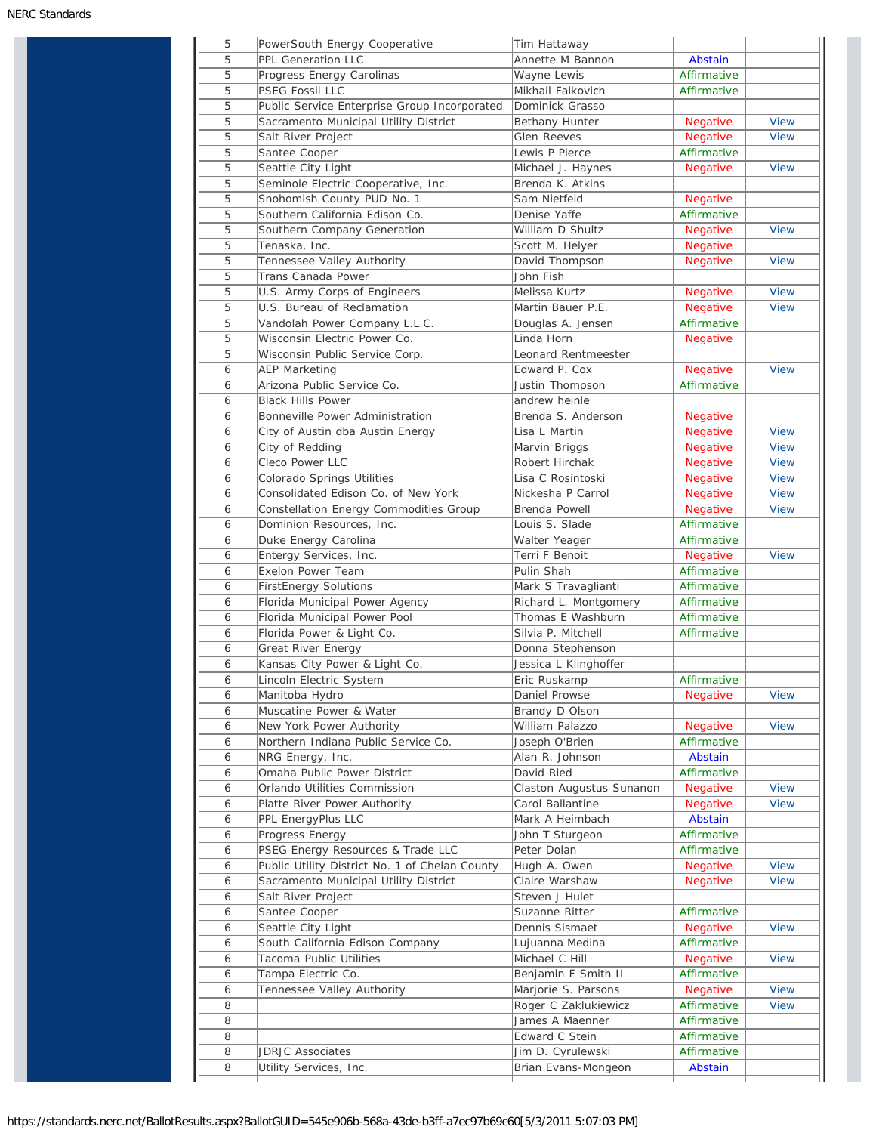| 5 | PowerSouth Energy Cooperative                  | Tim Hattaway             |                 |             |
|---|------------------------------------------------|--------------------------|-----------------|-------------|
| 5 | <b>PPL Generation LLC</b>                      | Annette M Bannon         | Abstain         |             |
| 5 | Progress Energy Carolinas                      | Wayne Lewis              | Affirmative     |             |
| 5 | <b>PSEG Fossil LLC</b>                         | Mikhail Falkovich        | Affirmative     |             |
| 5 | Public Service Enterprise Group Incorporated   | Dominick Grasso          |                 |             |
| 5 | Sacramento Municipal Utility District          | Bethany Hunter           | Negative        | <b>View</b> |
| 5 | Salt River Project                             | <b>Glen Reeves</b>       | Negative        | <b>View</b> |
| 5 | Santee Cooper                                  | Lewis P Pierce           | Affirmative     |             |
| 5 | Seattle City Light                             | Michael J. Haynes        | Negative        | <b>View</b> |
| 5 | Seminole Electric Cooperative, Inc.            | Brenda K. Atkins         |                 |             |
| 5 | Snohomish County PUD No. 1                     | Sam Nietfeld             | Negative        |             |
| 5 | Southern California Edison Co.                 | Denise Yaffe             | Affirmative     |             |
| 5 |                                                | William D Shultz         |                 | <b>View</b> |
|   | Southern Company Generation                    |                          | Negative        |             |
| 5 | Tenaska, Inc.                                  | Scott M. Helyer          | Negative        |             |
| 5 | Tennessee Valley Authority                     | David Thompson           | <b>Negative</b> | <b>View</b> |
| 5 | Trans Canada Power                             | John Fish                |                 |             |
| 5 | U.S. Army Corps of Engineers                   | Melissa Kurtz            | Negative        | <b>View</b> |
| 5 | U.S. Bureau of Reclamation                     | Martin Bauer P.E.        | Negative        | <b>View</b> |
| 5 | Vandolah Power Company L.L.C.                  | Douglas A. Jensen        | Affirmative     |             |
| 5 | Wisconsin Electric Power Co.                   | Linda Horn               | <b>Negative</b> |             |
| 5 | Wisconsin Public Service Corp.                 | Leonard Rentmeester      |                 |             |
| 6 | <b>AEP Marketing</b>                           | Edward P. Cox            | Negative        | <b>View</b> |
| 6 | Arizona Public Service Co.                     | Justin Thompson          | Affirmative     |             |
| 6 | <b>Black Hills Power</b>                       | andrew heinle            |                 |             |
| 6 | Bonneville Power Administration                | Brenda S. Anderson       | Negative        |             |
| 6 | City of Austin dba Austin Energy               | Lisa L Martin            | Negative        | <b>View</b> |
| 6 | City of Redding                                | Marvin Briggs            | Negative        | <b>View</b> |
| 6 | Cleco Power LLC                                | Robert Hirchak           | Negative        | <b>View</b> |
| 6 |                                                | Lisa C Rosintoski        |                 | <b>View</b> |
|   | Colorado Springs Utilities                     |                          | Negative        |             |
| 6 | Consolidated Edison Co. of New York            | Nickesha P Carrol        | <b>Negative</b> | <b>View</b> |
| 6 | Constellation Energy Commodities Group         | Brenda Powell            | Negative        | <b>View</b> |
| 6 | Dominion Resources, Inc.                       | Louis S. Slade           | Affirmative     |             |
| 6 | Duke Energy Carolina                           | Walter Yeager            | Affirmative     |             |
| 6 | Entergy Services, Inc.                         | Terri F Benoit           | Negative        | <b>View</b> |
| 6 | Exelon Power Team                              | Pulin Shah               | Affirmative     |             |
| 6 | <b>FirstEnergy Solutions</b>                   | Mark S Travaglianti      | Affirmative     |             |
| 6 | Florida Municipal Power Agency                 | Richard L. Montgomery    | Affirmative     |             |
| 6 | Florida Municipal Power Pool                   | Thomas E Washburn        | Affirmative     |             |
| 6 | Florida Power & Light Co.                      | Silvia P. Mitchell       | Affirmative     |             |
| 6 | Great River Energy                             | Donna Stephenson         |                 |             |
| 6 | Kansas City Power & Light Co.                  | Jessica L Klinghoffer    |                 |             |
| 6 | Lincoln Electric System                        | Eric Ruskamp             | Affirmative     |             |
| 6 | Manitoba Hydro                                 | Daniel Prowse            | <b>Negative</b> | <b>View</b> |
| 6 | Muscatine Power & Water                        | Brandy D Olson           |                 |             |
| 6 | New York Power Authority                       | William Palazzo          | Negative        | <b>View</b> |
|   |                                                |                          |                 |             |
| 6 | Northern Indiana Public Service Co.            | Joseph O'Brien           | Affirmative     |             |
| 6 | NRG Energy, Inc.                               | Alan R. Johnson          | Abstain         |             |
| 6 | Omaha Public Power District                    | David Ried               | Affirmative     |             |
| 6 | Orlando Utilities Commission                   | Claston Augustus Sunanon | <b>Negative</b> | <b>View</b> |
| 6 | Platte River Power Authority                   | Carol Ballantine         | Negative        | <b>View</b> |
| 6 | PPL EnergyPlus LLC                             | Mark A Heimbach          | Abstain         |             |
| 6 | Progress Energy                                | John T Sturgeon          | Affirmative     |             |
| 6 | PSEG Energy Resources & Trade LLC              | Peter Dolan              | Affirmative     |             |
| 6 | Public Utility District No. 1 of Chelan County | Hugh A. Owen             | Negative        | <b>View</b> |
| 6 | Sacramento Municipal Utility District          | Claire Warshaw           | Negative        | <b>View</b> |
| 6 | Salt River Project                             | Steven J Hulet           |                 |             |
| 6 | Santee Cooper                                  | Suzanne Ritter           | Affirmative     |             |
| 6 | Seattle City Light                             | Dennis Sismaet           | Negative        | View        |
| 6 | South California Edison Company                | Lujuanna Medina          | Affirmative     |             |
| 6 | Tacoma Public Utilities                        | Michael C Hill           |                 | <b>View</b> |
|   |                                                |                          | Negative        |             |
| 6 | Tampa Electric Co.                             | Benjamin F Smith II      | Affirmative     |             |
| 6 | Tennessee Valley Authority                     | Marjorie S. Parsons      | Negative        | <b>View</b> |
| 8 |                                                | Roger C Zaklukiewicz     | Affirmative     | <b>View</b> |
| 8 |                                                | James A Maenner          | Affirmative     |             |
|   |                                                |                          |                 |             |
| 8 |                                                | Edward C Stein           | Affirmative     |             |
| 8 | <b>JDRJC Associates</b>                        | Jim D. Cyrulewski        | Affirmative     |             |